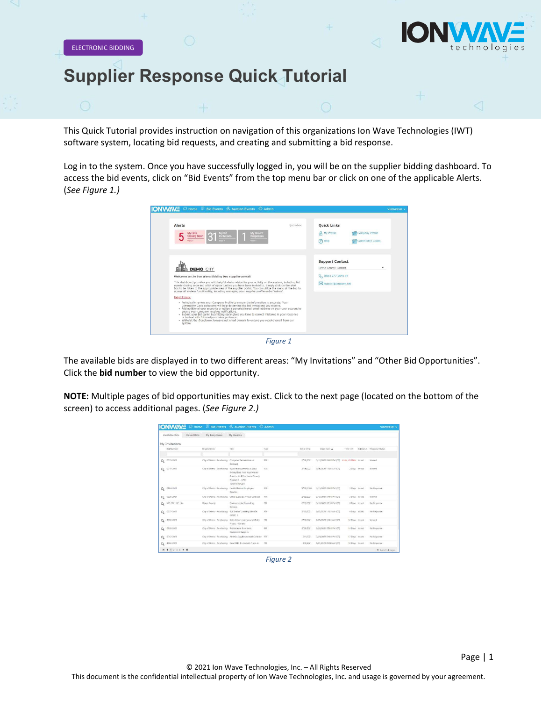

Page | 1

ELECTRONIC BIDDING

## **Supplier Response Quick Tutorial**

This Quick Tutorial provides instruction on navigation of this organizations Ion Wave Technologies (IWT) software system, locating bid requests, and creating and submitting a bid response.

Log in to the system. Once you have successfully logged in, you will be on the supplier bidding dashboard. To access the bid events, click on "Bid Events" from the top menu bar or click on one of the applicable Alerts. (*See Figure 1.)*





The available bids are displayed in to two different areas: "My Invitations" and "Other Bid Opportunities". Click the **bid number** to view the bid opportunity.

**NOTE:** Multiple pages of bid opportunities may exist. Click to the next page (located on the bottom of the screen) to access additional pages. (*See Figure 2.)*

|             | M Home                          |                                                   | Bid Events 2 Auction Events 2 Admin                                                                                            |            |            |                                               |                | vionwave +                  |
|-------------|---------------------------------|---------------------------------------------------|--------------------------------------------------------------------------------------------------------------------------------|------------|------------|-----------------------------------------------|----------------|-----------------------------|
|             | Clened Bleis:<br>Available Bids | My Responsure                                     | My Awards                                                                                                                      |            |            |                                               |                |                             |
|             | My Invitations                  |                                                   |                                                                                                                                |            |            |                                               |                |                             |
|             | <b>Bel Norther</b>              | Organization                                      | Title                                                                                                                          | Type       | Issue Date | Cine-Date .                                   | Time Left      | fiel Status Response Status |
|             |                                 |                                                   |                                                                                                                                |            |            |                                               |                |                             |
| $Q_{\rm c}$ | 0335-2021                       | City of Demo - Parchasing Computer Servers Annual | Contract                                                                                                                       | nep)       | 2/19/2021  | 3/12/2021 6 6:00 PM (CT) 4 Hz, 41 Mins Issued |                | Virvied                     |
| Q           | 0319-7021                       | City of Demo - Purchasing                         | Read Improvements at West<br>Richey Road from Kuykendahl<br>Road to 91 43 for Harris County<br>Precinct 1-UPIN<br>55101MF0H701 | REP        | 2/35/2021  | 3/15/2021 11:05 AM (CT)                       | 2 Days Roued   | Viewed                      |
| $\alpha$    | 0184-2020                       | City of Demo - Purchasing                         | Haalth Related Employee<br>Banafirs.                                                                                           | REP.       | 9/10/2020  | 1/15/2021 0/02 PM (CT)                        | 3 Days issued  | No Response                 |
| Q           | 0336-2021                       |                                                   | City of Demo - Purchasing Office Supplies Annual Contract                                                                      | 内界         | 2/22/2021  | 3/15/2021 04:00 PM (CT)                       | 3 Days Issued  | Virged                      |
| $\Omega$    | MP-2021-02-18a                  | Demo County                                       | Environmental Consulting<br>Services                                                                                           | 138        | 2/25/2021  | 3/18/2021 05:30 PM ICTI                       | GDays Issued   | No Response                 |
|             | $Q_0$ 0117-2021                 | City of Demo - Purchasing                         | <b>Eux Shalter Classimo Sanvices</b><br><b>COARTI 2</b>                                                                        | <b>RFP</b> | 2/22/2021  | 3/22/2021 11:05 AM (CT)                       | 9 Days Issued  | No Response                 |
| Q           | 4358 2021                       |                                                   | City of Demo - Purchasing Kirlsy Drive Underground Utility<br>Pesect - Omaha                                                   | 178        | 2/25/2021  | 3/25/2021 10:05 AM (CT)                       | 12 Days Issued | Viewed                      |
| $Q_{\rm c}$ | 0338-2021                       | City of Damp - Purchasing                         | Recreational & Athletic<br>Equipment Supplies                                                                                  | 880        | 2/26/2021  | 3/26/2021 05:00 PM ICT)                       | 14 Days Issued | No Response                 |
| Q           | 0142-2025                       |                                                   | City of Demo - Purchasing Athletic Supplies Annual Contract 1859                                                               |            | 3/1/2021   | 3/28/2021 0-00 PM (CT)                        | 17 Days Issued | No Response                 |
| Q           | 4362-2021                       |                                                   | City of Demo / Purchasing New RAM Trucks with Trade-In                                                                         | 178        | 3/2/2021   | 3/31/2021 05:00 AM (CT)                       | 18 Days Issued | No Response                 |
|             | <b>N 4 1 2 3 4 9 N</b>          |                                                   |                                                                                                                                |            |            |                                               |                | 31-htm In 4 pages           |

*Figure 2*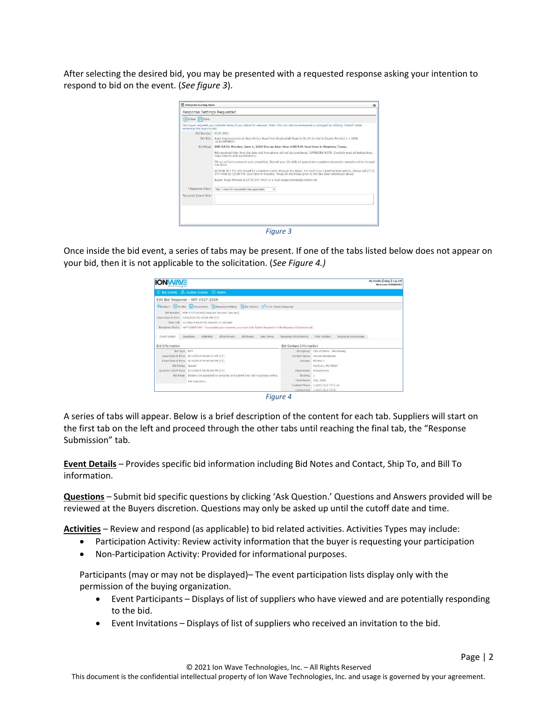After selecting the desired bid, you may be presented with a requested response asking your intention to respond to bid on the event. (*See figure 3*).

|                            | Response Settings Requested                                                                                                                                                                                                           |
|----------------------------|---------------------------------------------------------------------------------------------------------------------------------------------------------------------------------------------------------------------------------------|
| (X) Close 日 Save           |                                                                                                                                                                                                                                       |
| reviewing the epportunity. | The buyer requests you indicate below if you intend to respond. Note: this can also be answered or changed by clicking "Intent" while                                                                                                 |
| Rid Number 0319-2021       |                                                                                                                                                                                                                                       |
| Bid Title                  | Road Improvements at West Richey Road from Kuykendahl Road to IH 45 for Harris County Precinct 1 - UPIN<br>16101MF0HZ01                                                                                                               |
| <b>Bid Nobes</b>           | DUE DATE: Monday, June 1, 2020 Due no later than 2:00 P.M. local time in Houston, Texas.                                                                                                                                              |
|                            | Bids received later than the date and time above will not be considered. OFFERORS NOTE: Carefully read all instructions,<br>requirements and specifications.                                                                          |
|                            | Fill out all forms properly and completely. Submit your bid with all appropriate supplements and/or samples online through<br>Ion Waye.                                                                                               |
|                            | RETURN BID TO: Bid should be submitted online through Ion Wave, For hard copy submittal instructions, please call (713).<br>274-4400 by 12:00 P.M. local time in Houston. Texas on the Friday prior to the due date referenced above. |
|                            | Buyer: Palge McInnis at (713) 274-4427 or e-mail palge mcinnis@pur.hctx.net                                                                                                                                                           |
| · Response Intent          | Yes, I intend to respond to the coportunity<br>ü                                                                                                                                                                                      |
| Response Intent Note       |                                                                                                                                                                                                                                       |
|                            |                                                                                                                                                                                                                                       |
|                            |                                                                                                                                                                                                                                       |
|                            |                                                                                                                                                                                                                                       |



Once inside the bid event, a series of tabs may be present. If one of the tabs listed below does not appear on your bid, then it is not applicable to the solicitation. (*See Figure 4.)*

| erhnologie:              |                                                                                                                                                                                                                                                                                         |                                |                                     | My Profile   Help   Log Off<br>Welcome IONWAVE! |
|--------------------------|-----------------------------------------------------------------------------------------------------------------------------------------------------------------------------------------------------------------------------------------------------------------------------------------|--------------------------------|-------------------------------------|-------------------------------------------------|
|                          | Bid Events % Auction Events <sup>@</sup> Admin                                                                                                                                                                                                                                          |                                |                                     |                                                 |
|                          | Edit Bid Response - RFP #537-2019                                                                                                                                                                                                                                                       |                                |                                     |                                                 |
|                          | Response History History Crock Response                                                                                                                                                                                                                                                 |                                |                                     |                                                 |
|                          | Bld Number RFP #537-2019 (Computer Servers Contract)<br>Close Date & Time  9/18/2019 02:40:00 PM (CT)<br>Time Left 22 days 4 hours 48 minutes 37 seconds<br>Response Status NOT SUBMITTED - To complete your response, you must click 'Submit Response' in the Response Submission tab. |                                |                                     |                                                 |
| <b>Event Details</b>     | Questions<br>Activities<br><b>Attributes</b><br>Line Items<br>Attachments                                                                                                                                                                                                               | Response Attachments           | Response Submission<br>Plan Holders |                                                 |
| <b>Bid Information</b>   |                                                                                                                                                                                                                                                                                         | <b>Bid Contact Information</b> |                                     |                                                 |
| Bid Type RFP             |                                                                                                                                                                                                                                                                                         |                                | Workgroup City of Demo - Purchasing |                                                 |
|                          |                                                                                                                                                                                                                                                                                         |                                | Contact Name: Darren Henderson      |                                                 |
|                          | Close Date & Time  9/18/2019 02:40:00 PM (CT)                                                                                                                                                                                                                                           |                                | Address PO Box 7                    |                                                 |
| <b>Bld Status</b> Issued |                                                                                                                                                                                                                                                                                         |                                | AnyTown, MI 48824                   |                                                 |
|                          | Question Cutoff Date  9/12/2019 02:40:00 PM (CT)                                                                                                                                                                                                                                        |                                | Department Procurement              |                                                 |
|                          | Bid Notes Bidders are expected to complete and submit their bid responses online.                                                                                                                                                                                                       | Building                       |                                     |                                                 |
|                          | the engineers                                                                                                                                                                                                                                                                           | Floor/Room 2nd, 2066           |                                     |                                                 |
|                          |                                                                                                                                                                                                                                                                                         |                                | Contact Phone 1 (417) 823-7773 x4   |                                                 |
|                          |                                                                                                                                                                                                                                                                                         |                                | Contact Fax 1 (417) 823-7778        |                                                 |

*Figure 4*

A series of tabs will appear. Below is a brief description of the content for each tab. Suppliers will start on the first tab on the left and proceed through the other tabs until reaching the final tab, the "Response Submission" tab.

**Event Details** – Provides specific bid information including Bid Notes and Contact, Ship To, and Bill To information.

**Questions** – Submit bid specific questions by clicking 'Ask Question.' Questions and Answers provided will be reviewed at the Buyers discretion. Questions may only be asked up until the cutoff date and time.

**Activities** – Review and respond (as applicable) to bid related activities. Activities Types may include:

- Participation Activity: Review activity information that the buyer is requesting your participation
- Non-Participation Activity: Provided for informational purposes.

Participants (may or may not be displayed)– The event participation lists display only with the permission of the buying organization.

- Event Participants Displays of list of suppliers who have viewed and are potentially responding to the bid.
- Event Invitations Displays of list of suppliers who received an invitation to the bid.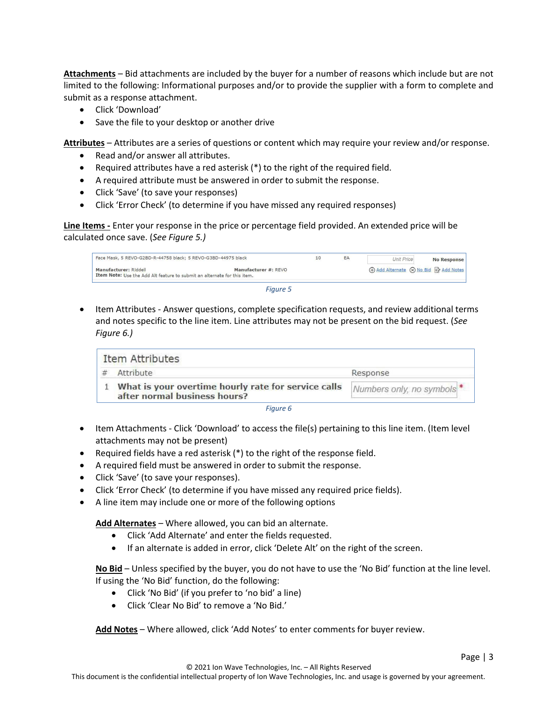**Attachments** – Bid attachments are included by the buyer for a number of reasons which include but are not limited to the following: Informational purposes and/or to provide the supplier with a form to complete and submit as a response attachment.

- Click 'Download'
- Save the file to your desktop or another drive

**Attributes** – Attributes are a series of questions or content which may require your review and/or response.

- Read and/or answer all attributes.
- Required attributes have a red asterisk (\*) to the right of the required field.
- A required attribute must be answered in order to submit the response.
- Click 'Save' (to save your responses)
- Click 'Error Check' (to determine if you have missed any required responses)

**Line Items -** Enter your response in the price or percentage field provided. An extended price will be calculated once save. (*See Figure 5.)*

| Face Mask, 5 REVO-G2BD-R-44758 black; 5 REVO-G3BD-44975 black                                     |                      | EA | <b>Unit Price</b>                         | <b>No Response</b> |
|---------------------------------------------------------------------------------------------------|----------------------|----|-------------------------------------------|--------------------|
| Manufacturer: Riddell<br>Item Note: Use the Add Alt feature to submit an alternate for this item. | Manufacturer #: REVO |    | (+) Add Alternate (x) No Bid E≯ Add Notes |                    |

*Figure 5*

• Item Attributes - Answer questions, complete specification requests, and review additional terms and notes specific to the line item. Line attributes may not be present on the bid request. (*See Figure 6.)*

| <b>Item Attributes</b>                                                              |                                       |
|-------------------------------------------------------------------------------------|---------------------------------------|
| Attribute                                                                           | Response                              |
| What is your overtime hourly rate for service calls<br>after normal business hours? | Numbers only, no symbols <sup>*</sup> |
| Fiaure 6                                                                            |                                       |

- Item Attachments Click 'Download' to access the file(s) pertaining to this line item. (Item level attachments may not be present)
- Required fields have a red asterisk (\*) to the right of the response field.
- A required field must be answered in order to submit the response.
- Click 'Save' (to save your responses).
- Click 'Error Check' (to determine if you have missed any required price fields).
- A line item may include one or more of the following options

**Add Alternates** – Where allowed, you can bid an alternate.

- Click 'Add Alternate' and enter the fields requested.
- If an alternate is added in error, click 'Delete Alt' on the right of the screen.

**No Bid** – Unless specified by the buyer, you do not have to use the 'No Bid' function at the line level. If using the 'No Bid' function, do the following:

- Click 'No Bid' (if you prefer to 'no bid' a line)
- Click 'Clear No Bid' to remove a 'No Bid.'

**Add Notes** – Where allowed, click 'Add Notes' to enter comments for buyer review.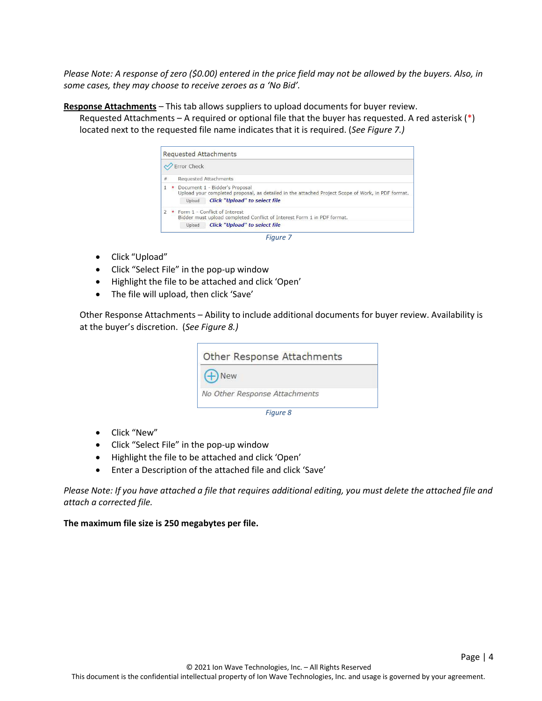*Please Note: A response of zero (\$0.00) entered in the price field may not be allowed by the buyers. Also, in some cases, they may choose to receive zeroes as a 'No Bid'.*

**Response Attachments** – This tab allows suppliers to upload documents for buyer review.

Requested Attachments – A required or optional file that the buyer has requested. A red asterisk (\*) located next to the requested file name indicates that it is required. (*See Figure 7.)*

|                | Error Check                                                                                                                                                                           |
|----------------|---------------------------------------------------------------------------------------------------------------------------------------------------------------------------------------|
| $\#$           | <b>Requested Attachments</b>                                                                                                                                                          |
|                | Document 1 - Bidder's Proposal<br>Upload your completed proposal, as detailed in the attached Project Scope of Work, in PDF format.<br><b>Click "Upload" to select file</b><br>Upload |
| $\overline{2}$ | * Form 1 - Conflict of Interest<br>Bidder must upload completed Conflict of Interest Form 1 in PDF format.<br><b>Click "Upload" to select file</b><br>Upload                          |

- Click "Upload"
- Click "Select File" in the pop-up window
- Highlight the file to be attached and click 'Open'
- The file will upload, then click 'Save'

Other Response Attachments – Ability to include additional documents for buyer review. Availability is at the buyer's discretion. (*See Figure 8.)*

| Other Response Attachments    |  |
|-------------------------------|--|
| $+$ New                       |  |
| No Other Response Attachments |  |
| Figure 8                      |  |

- Click "New"
- Click "Select File" in the pop-up window
- Highlight the file to be attached and click 'Open'
- Enter a Description of the attached file and click 'Save'

*Please Note: If you have attached a file that requires additional editing, you must delete the attached file and attach a corrected file.*

**The maximum file size is 250 megabytes per file.**